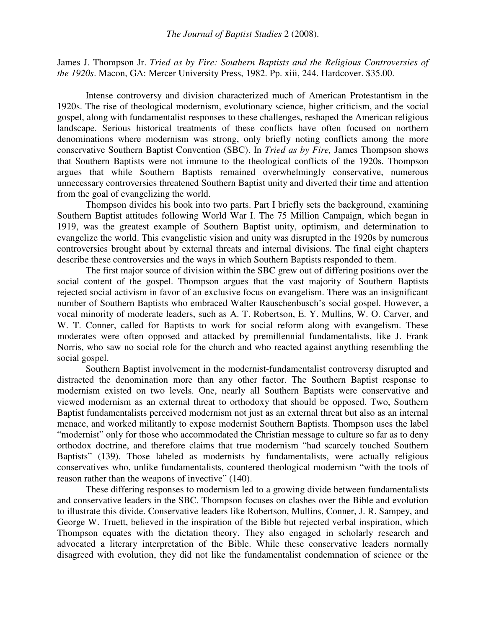James J. Thompson Jr. *Tried as by Fire: Southern Baptists and the Religious Controversies of the 1920s*. Macon, GA: Mercer University Press, 1982. Pp. xiii, 244. Hardcover. \$35.00.

Intense controversy and division characterized much of American Protestantism in the 1920s. The rise of theological modernism, evolutionary science, higher criticism, and the social gospel, along with fundamentalist responses to these challenges, reshaped the American religious landscape. Serious historical treatments of these conflicts have often focused on northern denominations where modernism was strong, only briefly noting conflicts among the more conservative Southern Baptist Convention (SBC). In *Tried as by Fire,* James Thompson shows that Southern Baptists were not immune to the theological conflicts of the 1920s. Thompson argues that while Southern Baptists remained overwhelmingly conservative, numerous unnecessary controversies threatened Southern Baptist unity and diverted their time and attention from the goal of evangelizing the world.

Thompson divides his book into two parts. Part I briefly sets the background, examining Southern Baptist attitudes following World War I. The 75 Million Campaign, which began in 1919, was the greatest example of Southern Baptist unity, optimism, and determination to evangelize the world. This evangelistic vision and unity was disrupted in the 1920s by numerous controversies brought about by external threats and internal divisions. The final eight chapters describe these controversies and the ways in which Southern Baptists responded to them.

The first major source of division within the SBC grew out of differing positions over the social content of the gospel. Thompson argues that the vast majority of Southern Baptists rejected social activism in favor of an exclusive focus on evangelism. There was an insignificant number of Southern Baptists who embraced Walter Rauschenbusch's social gospel. However, a vocal minority of moderate leaders, such as A. T. Robertson, E. Y. Mullins, W. O. Carver, and W. T. Conner, called for Baptists to work for social reform along with evangelism. These moderates were often opposed and attacked by premillennial fundamentalists, like J. Frank Norris, who saw no social role for the church and who reacted against anything resembling the social gospel.

Southern Baptist involvement in the modernist-fundamentalist controversy disrupted and distracted the denomination more than any other factor. The Southern Baptist response to modernism existed on two levels. One, nearly all Southern Baptists were conservative and viewed modernism as an external threat to orthodoxy that should be opposed. Two, Southern Baptist fundamentalists perceived modernism not just as an external threat but also as an internal menace, and worked militantly to expose modernist Southern Baptists. Thompson uses the label "modernist" only for those who accommodated the Christian message to culture so far as to deny orthodox doctrine, and therefore claims that true modernism "had scarcely touched Southern Baptists" (139). Those labeled as modernists by fundamentalists, were actually religious conservatives who, unlike fundamentalists, countered theological modernism "with the tools of reason rather than the weapons of invective" (140).

These differing responses to modernism led to a growing divide between fundamentalists and conservative leaders in the SBC. Thompson focuses on clashes over the Bible and evolution to illustrate this divide. Conservative leaders like Robertson, Mullins, Conner, J. R. Sampey, and George W. Truett, believed in the inspiration of the Bible but rejected verbal inspiration, which Thompson equates with the dictation theory. They also engaged in scholarly research and advocated a literary interpretation of the Bible. While these conservative leaders normally disagreed with evolution, they did not like the fundamentalist condemnation of science or the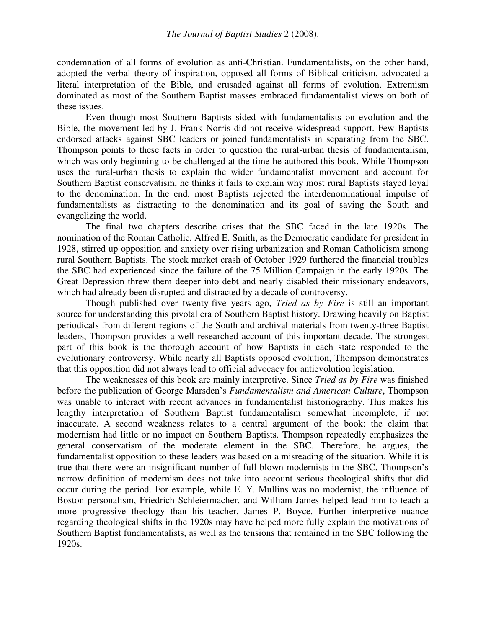condemnation of all forms of evolution as anti-Christian. Fundamentalists, on the other hand, adopted the verbal theory of inspiration, opposed all forms of Biblical criticism, advocated a literal interpretation of the Bible, and crusaded against all forms of evolution. Extremism dominated as most of the Southern Baptist masses embraced fundamentalist views on both of these issues.

Even though most Southern Baptists sided with fundamentalists on evolution and the Bible, the movement led by J. Frank Norris did not receive widespread support. Few Baptists endorsed attacks against SBC leaders or joined fundamentalists in separating from the SBC. Thompson points to these facts in order to question the rural-urban thesis of fundamentalism, which was only beginning to be challenged at the time he authored this book. While Thompson uses the rural-urban thesis to explain the wider fundamentalist movement and account for Southern Baptist conservatism, he thinks it fails to explain why most rural Baptists stayed loyal to the denomination. In the end, most Baptists rejected the interdenominational impulse of fundamentalists as distracting to the denomination and its goal of saving the South and evangelizing the world.

The final two chapters describe crises that the SBC faced in the late 1920s. The nomination of the Roman Catholic, Alfred E. Smith, as the Democratic candidate for president in 1928, stirred up opposition and anxiety over rising urbanization and Roman Catholicism among rural Southern Baptists. The stock market crash of October 1929 furthered the financial troubles the SBC had experienced since the failure of the 75 Million Campaign in the early 1920s. The Great Depression threw them deeper into debt and nearly disabled their missionary endeavors, which had already been disrupted and distracted by a decade of controversy.

Though published over twenty-five years ago, *Tried as by Fire* is still an important source for understanding this pivotal era of Southern Baptist history. Drawing heavily on Baptist periodicals from different regions of the South and archival materials from twenty-three Baptist leaders, Thompson provides a well researched account of this important decade. The strongest part of this book is the thorough account of how Baptists in each state responded to the evolutionary controversy. While nearly all Baptists opposed evolution, Thompson demonstrates that this opposition did not always lead to official advocacy for antievolution legislation.

The weaknesses of this book are mainly interpretive. Since *Tried as by Fire* was finished before the publication of George Marsden's *Fundamentalism and American Culture*, Thompson was unable to interact with recent advances in fundamentalist historiography. This makes his lengthy interpretation of Southern Baptist fundamentalism somewhat incomplete, if not inaccurate. A second weakness relates to a central argument of the book: the claim that modernism had little or no impact on Southern Baptists. Thompson repeatedly emphasizes the general conservatism of the moderate element in the SBC. Therefore, he argues, the fundamentalist opposition to these leaders was based on a misreading of the situation. While it is true that there were an insignificant number of full-blown modernists in the SBC, Thompson's narrow definition of modernism does not take into account serious theological shifts that did occur during the period. For example, while E. Y. Mullins was no modernist, the influence of Boston personalism, Friedrich Schleiermacher, and William James helped lead him to teach a more progressive theology than his teacher, James P. Boyce. Further interpretive nuance regarding theological shifts in the 1920s may have helped more fully explain the motivations of Southern Baptist fundamentalists, as well as the tensions that remained in the SBC following the 1920s.